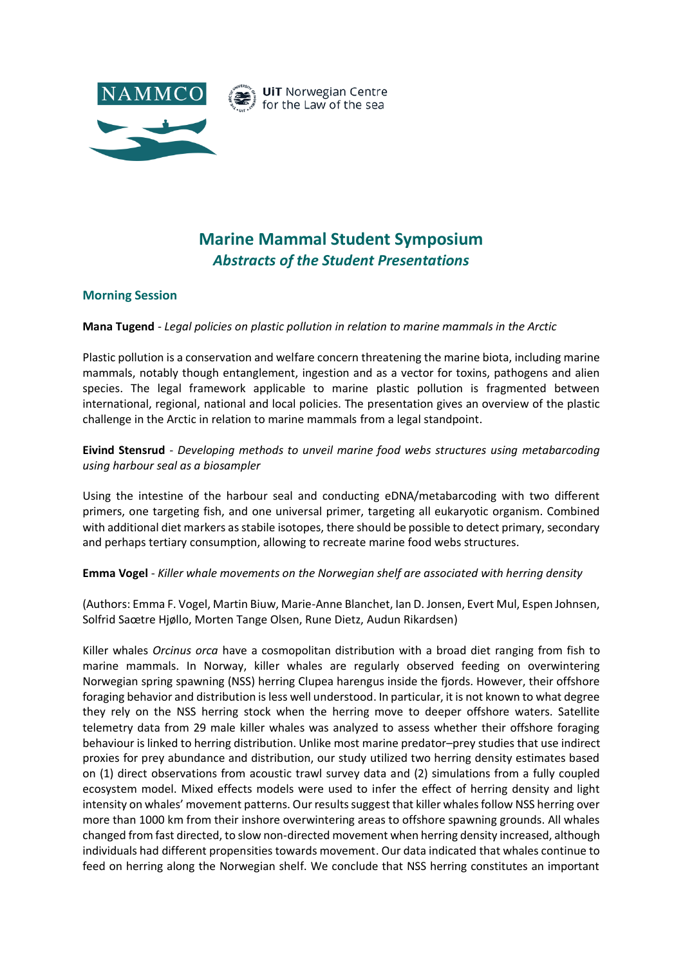

# **Marine Mammal Student Symposium** *Abstracts of the Student Presentations*

## **Morning Session**

**Mana Tugend** - *Legal policies on plastic pollution in relation to marine mammals in the Arctic*

Plastic pollution is a conservation and welfare concern threatening the marine biota, including marine mammals, notably though entanglement, ingestion and as a vector for toxins, pathogens and alien species. The legal framework applicable to marine plastic pollution is fragmented between international, regional, national and local policies. The presentation gives an overview of the plastic challenge in the Arctic in relation to marine mammals from a legal standpoint.

# **Eivind Stensrud** - *Developing methods to unveil marine food webs structures using metabarcoding using harbour seal as a biosampler*

Using the intestine of the harbour seal and conducting eDNA/metabarcoding with two different primers, one targeting fish, and one universal primer, targeting all eukaryotic organism. Combined with additional diet markers as stabile isotopes, there should be possible to detect primary, secondary and perhaps tertiary consumption, allowing to recreate marine food webs structures.

**Emma Vogel** - *Killer whale movements on the Norwegian shelf are associated with herring density* 

(Authors: Emma F. Vogel, Martin Biuw, Marie-Anne Blanchet, Ian D. Jonsen, Evert Mul, Espen Johnsen, Solfrid Saœtre Hjøllo, Morten Tange Olsen, Rune Dietz, Audun Rikardsen)

Killer whales *Orcinus orca* have a cosmopolitan distribution with a broad diet ranging from fish to marine mammals. In Norway, killer whales are regularly observed feeding on overwintering Norwegian spring spawning (NSS) herring Clupea harengus inside the fjords. However, their offshore foraging behavior and distribution is less well understood. In particular, it is not known to what degree they rely on the NSS herring stock when the herring move to deeper offshore waters. Satellite telemetry data from 29 male killer whales was analyzed to assess whether their offshore foraging behaviour is linked to herring distribution. Unlike most marine predator–prey studies that use indirect proxies for prey abundance and distribution, our study utilized two herring density estimates based on (1) direct observations from acoustic trawl survey data and (2) simulations from a fully coupled ecosystem model. Mixed effects models were used to infer the effect of herring density and light intensity on whales' movement patterns. Our results suggest that killer whales follow NSS herring over more than 1000 km from their inshore overwintering areas to offshore spawning grounds. All whales changed from fast directed, to slow non-directed movement when herring density increased, although individuals had different propensities towards movement. Our data indicated that whales continue to feed on herring along the Norwegian shelf. We conclude that NSS herring constitutes an important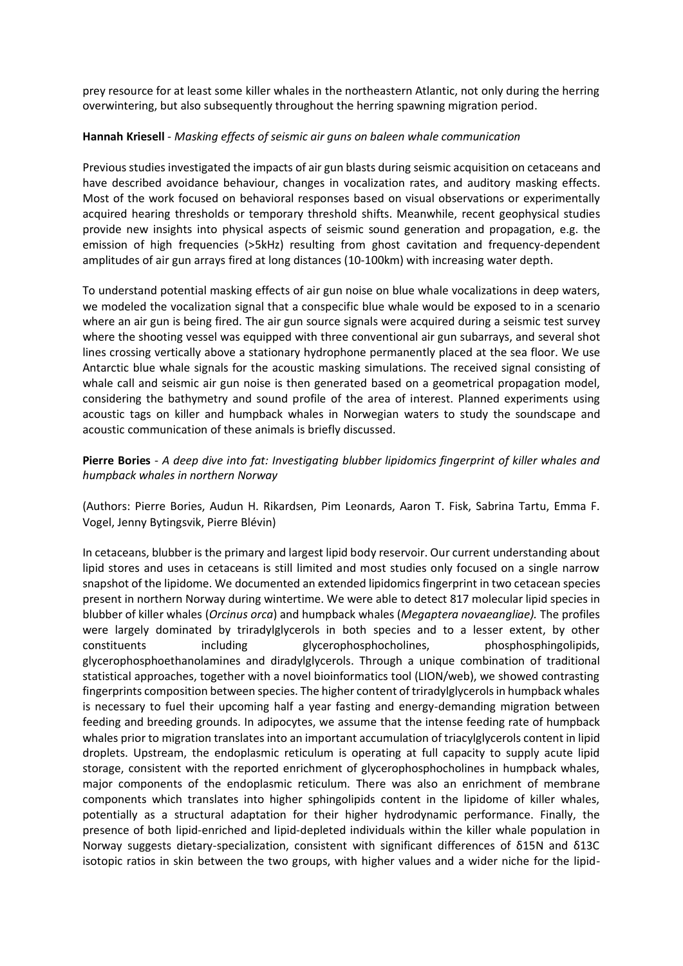prey resource for at least some killer whales in the northeastern Atlantic, not only during the herring overwintering, but also subsequently throughout the herring spawning migration period.

#### **Hannah Kriesell** - *Masking effects of seismic air guns on baleen whale communication*

Previous studies investigated the impacts of air gun blasts during seismic acquisition on cetaceans and have described avoidance behaviour, changes in vocalization rates, and auditory masking effects. Most of the work focused on behavioral responses based on visual observations or experimentally acquired hearing thresholds or temporary threshold shifts. Meanwhile, recent geophysical studies provide new insights into physical aspects of seismic sound generation and propagation, e.g. the emission of high frequencies (>5kHz) resulting from ghost cavitation and frequency-dependent amplitudes of air gun arrays fired at long distances (10-100km) with increasing water depth.

To understand potential masking effects of air gun noise on blue whale vocalizations in deep waters, we modeled the vocalization signal that a conspecific blue whale would be exposed to in a scenario where an air gun is being fired. The air gun source signals were acquired during a seismic test survey where the shooting vessel was equipped with three conventional air gun subarrays, and several shot lines crossing vertically above a stationary hydrophone permanently placed at the sea floor. We use Antarctic blue whale signals for the acoustic masking simulations. The received signal consisting of whale call and seismic air gun noise is then generated based on a geometrical propagation model, considering the bathymetry and sound profile of the area of interest. Planned experiments using acoustic tags on killer and humpback whales in Norwegian waters to study the soundscape and acoustic communication of these animals is briefly discussed.

**Pierre Bories** - *A deep dive into fat: Investigating blubber lipidomics fingerprint of killer whales and humpback whales in northern Norway* 

(Authors: Pierre Bories, Audun H. Rikardsen, Pim Leonards, Aaron T. Fisk, Sabrina Tartu, Emma F. Vogel, Jenny Bytingsvik, Pierre Blévin)

In cetaceans, blubber is the primary and largest lipid body reservoir. Our current understanding about lipid stores and uses in cetaceans is still limited and most studies only focused on a single narrow snapshot of the lipidome. We documented an extended lipidomics fingerprint in two cetacean species present in northern Norway during wintertime. We were able to detect 817 molecular lipid species in blubber of killer whales (*Orcinus orca*) and humpback whales (*Megaptera novaeangliae).* The profiles were largely dominated by triradylglycerols in both species and to a lesser extent, by other constituents including glycerophosphocholines, phosphosphingolipids, glycerophosphoethanolamines and diradylglycerols. Through a unique combination of traditional statistical approaches, together with a novel bioinformatics tool (LION/web), we showed contrasting fingerprints composition between species. The higher content of triradylglycerols in humpback whales is necessary to fuel their upcoming half a year fasting and energy-demanding migration between feeding and breeding grounds. In adipocytes, we assume that the intense feeding rate of humpback whales prior to migration translates into an important accumulation of triacylglycerols content in lipid droplets. Upstream, the endoplasmic reticulum is operating at full capacity to supply acute lipid storage, consistent with the reported enrichment of glycerophosphocholines in humpback whales, major components of the endoplasmic reticulum. There was also an enrichment of membrane components which translates into higher sphingolipids content in the lipidome of killer whales, potentially as a structural adaptation for their higher hydrodynamic performance. Finally, the presence of both lipid-enriched and lipid-depleted individuals within the killer whale population in Norway suggests dietary-specialization, consistent with significant differences of δ15N and δ13C isotopic ratios in skin between the two groups, with higher values and a wider niche for the lipid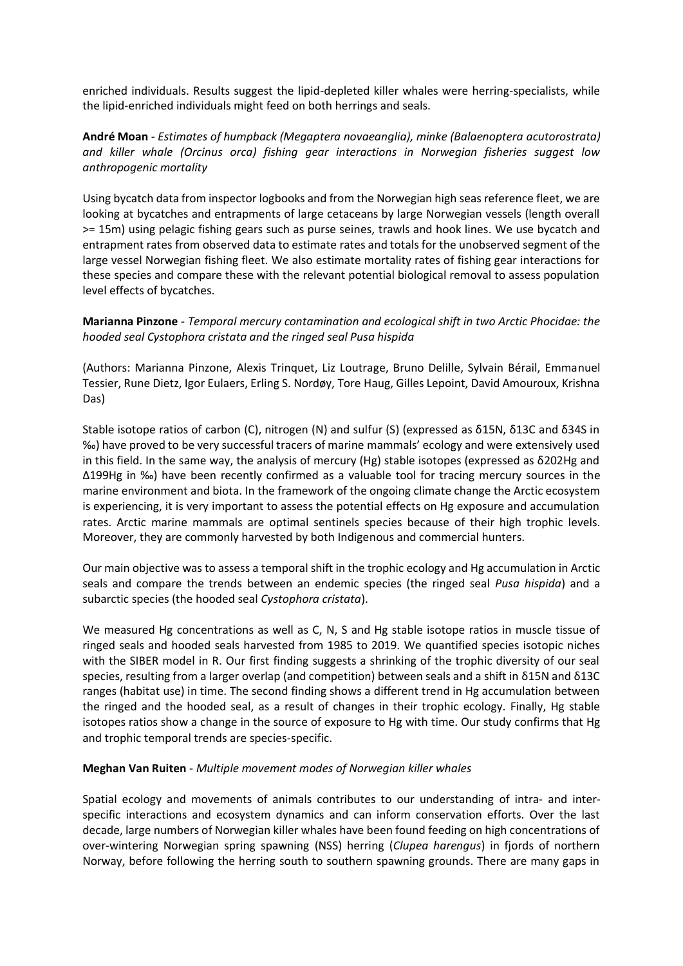enriched individuals. Results suggest the lipid-depleted killer whales were herring-specialists, while the lipid-enriched individuals might feed on both herrings and seals.

# **André Moan** - *Estimates of humpback (Megaptera novaeanglia), minke (Balaenoptera acutorostrata) and killer whale (Orcinus orca) fishing gear interactions in Norwegian fisheries suggest low anthropogenic mortality*

Using bycatch data from inspector logbooks and from the Norwegian high seas reference fleet, we are looking at bycatches and entrapments of large cetaceans by large Norwegian vessels (length overall >= 15m) using pelagic fishing gears such as purse seines, trawls and hook lines. We use bycatch and entrapment rates from observed data to estimate rates and totals for the unobserved segment of the large vessel Norwegian fishing fleet. We also estimate mortality rates of fishing gear interactions for these species and compare these with the relevant potential biological removal to assess population level effects of bycatches.

# **Marianna Pinzone** - *Temporal mercury contamination and ecological shift in two Arctic Phocidae: the hooded seal Cystophora cristata and the ringed seal Pusa hispida*

(Authors: Marianna Pinzone, Alexis Trinquet, Liz Loutrage, Bruno Delille, Sylvain Bérail, Emmanuel Tessier, Rune Dietz, Igor Eulaers, Erling S. Nordøy, Tore Haug, Gilles Lepoint, David Amouroux, Krishna Das)

Stable isotope ratios of carbon (C), nitrogen (N) and sulfur (S) (expressed as δ15N, δ13C and δ34S in ‰) have proved to be very successful tracers of marine mammals' ecology and were extensively used in this field. In the same way, the analysis of mercury (Hg) stable isotopes (expressed as δ202Hg and Δ199Hg in ‰) have been recently confirmed as a valuable tool for tracing mercury sources in the marine environment and biota. In the framework of the ongoing climate change the Arctic ecosystem is experiencing, it is very important to assess the potential effects on Hg exposure and accumulation rates. Arctic marine mammals are optimal sentinels species because of their high trophic levels. Moreover, they are commonly harvested by both Indigenous and commercial hunters.

Our main objective was to assess a temporal shift in the trophic ecology and Hg accumulation in Arctic seals and compare the trends between an endemic species (the ringed seal *Pusa hispida*) and a subarctic species (the hooded seal *Cystophora cristata*).

We measured Hg concentrations as well as C, N, S and Hg stable isotope ratios in muscle tissue of ringed seals and hooded seals harvested from 1985 to 2019. We quantified species isotopic niches with the SIBER model in R. Our first finding suggests a shrinking of the trophic diversity of our seal species, resulting from a larger overlap (and competition) between seals and a shift in δ15N and δ13C ranges (habitat use) in time. The second finding shows a different trend in Hg accumulation between the ringed and the hooded seal, as a result of changes in their trophic ecology. Finally, Hg stable isotopes ratios show a change in the source of exposure to Hg with time. Our study confirms that Hg and trophic temporal trends are species-specific.

#### **Meghan Van Ruiten** - *Multiple movement modes of Norwegian killer whales*

Spatial ecology and movements of animals contributes to our understanding of intra- and interspecific interactions and ecosystem dynamics and can inform conservation efforts. Over the last decade, large numbers of Norwegian killer whales have been found feeding on high concentrations of over-wintering Norwegian spring spawning (NSS) herring (*Clupea harengus*) in fjords of northern Norway, before following the herring south to southern spawning grounds. There are many gaps in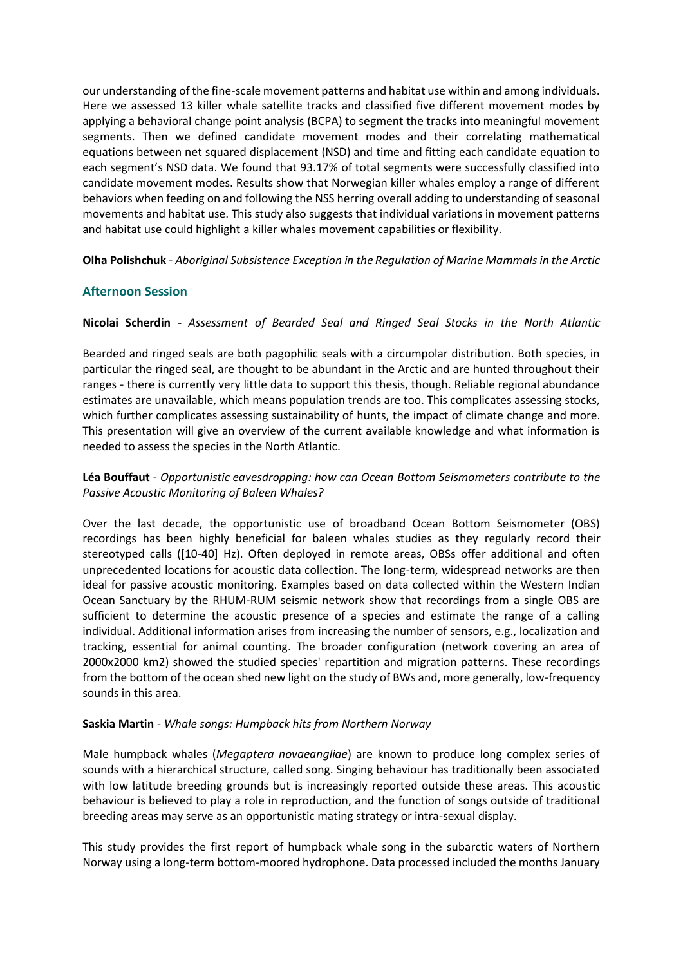our understanding of the fine-scale movement patterns and habitat use within and among individuals. Here we assessed 13 killer whale satellite tracks and classified five different movement modes by applying a behavioral change point analysis (BCPA) to segment the tracks into meaningful movement segments. Then we defined candidate movement modes and their correlating mathematical equations between net squared displacement (NSD) and time and fitting each candidate equation to each segment's NSD data. We found that 93.17% of total segments were successfully classified into candidate movement modes. Results show that Norwegian killer whales employ a range of different behaviors when feeding on and following the NSS herring overall adding to understanding of seasonal movements and habitat use. This study also suggests that individual variations in movement patterns and habitat use could highlight a killer whales movement capabilities or flexibility.

**Olha Polishchuk** - *Aboriginal Subsistence Exception in the Regulation of Marine Mammals in the Arctic*

# **Afternoon Session**

**Nicolai Scherdin** - *Assessment of Bearded Seal and Ringed Seal Stocks in the North Atlantic*

Bearded and ringed seals are both pagophilic seals with a circumpolar distribution. Both species, in particular the ringed seal, are thought to be abundant in the Arctic and are hunted throughout their ranges - there is currently very little data to support this thesis, though. Reliable regional abundance estimates are unavailable, which means population trends are too. This complicates assessing stocks, which further complicates assessing sustainability of hunts, the impact of climate change and more. This presentation will give an overview of the current available knowledge and what information is needed to assess the species in the North Atlantic.

# **Léa Bouffaut** - *Opportunistic eavesdropping: how can Ocean Bottom Seismometers contribute to the Passive Acoustic Monitoring of Baleen Whales?*

Over the last decade, the opportunistic use of broadband Ocean Bottom Seismometer (OBS) recordings has been highly beneficial for baleen whales studies as they regularly record their stereotyped calls ([10-40] Hz). Often deployed in remote areas, OBSs offer additional and often unprecedented locations for acoustic data collection. The long-term, widespread networks are then ideal for passive acoustic monitoring. Examples based on data collected within the Western Indian Ocean Sanctuary by the RHUM-RUM seismic network show that recordings from a single OBS are sufficient to determine the acoustic presence of a species and estimate the range of a calling individual. Additional information arises from increasing the number of sensors, e.g., localization and tracking, essential for animal counting. The broader configuration (network covering an area of 2000x2000 km2) showed the studied species' repartition and migration patterns. These recordings from the bottom of the ocean shed new light on the study of BWs and, more generally, low-frequency sounds in this area.

#### **Saskia Martin** - *Whale songs: Humpback hits from Northern Norway*

Male humpback whales (*Megaptera novaeangliae*) are known to produce long complex series of sounds with a hierarchical structure, called song. Singing behaviour has traditionally been associated with low latitude breeding grounds but is increasingly reported outside these areas. This acoustic behaviour is believed to play a role in reproduction, and the function of songs outside of traditional breeding areas may serve as an opportunistic mating strategy or intra-sexual display.

This study provides the first report of humpback whale song in the subarctic waters of Northern Norway using a long-term bottom-moored hydrophone. Data processed included the months January